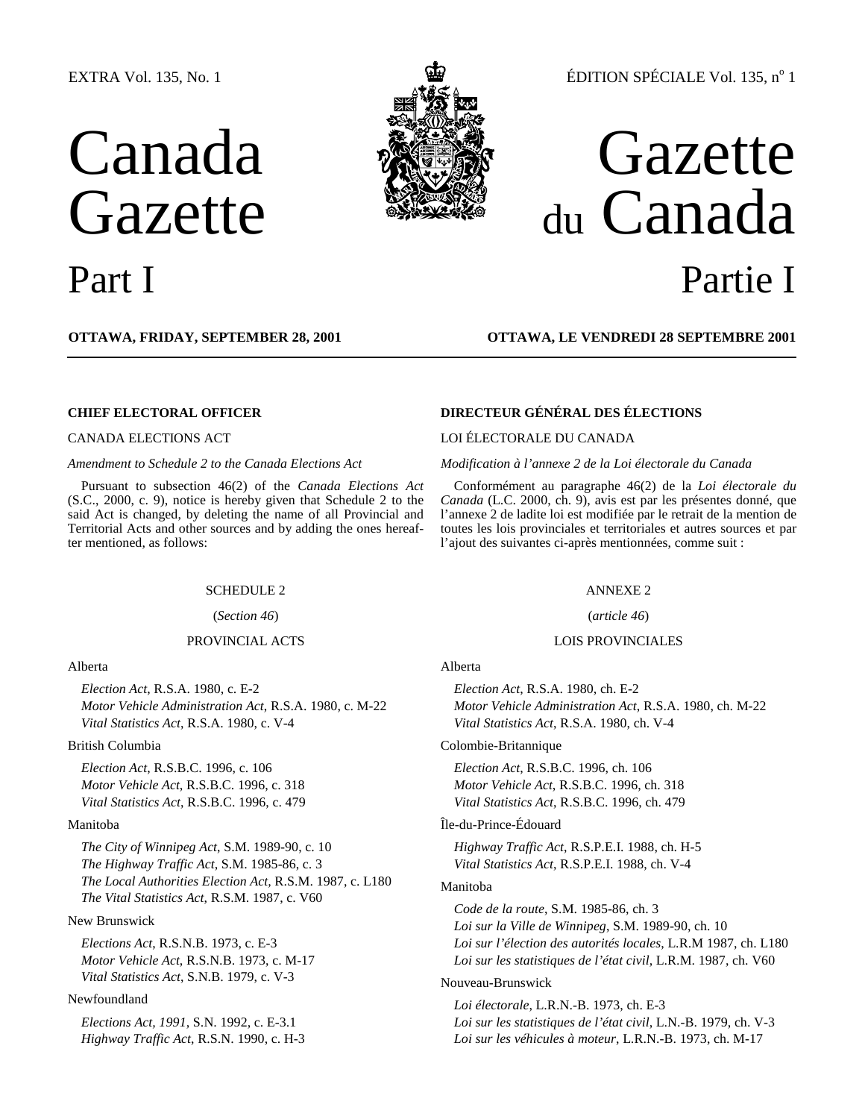## EXTRA Vol. 135, No. 1

# Canada **Gazette**



## Part I Partie I

du Canada

**OTTAWA, FRIDAY, SEPTEMBER 28, 2001 OTTAWA, LE VENDREDI 28 SEPTEMBRE 2001**

Pursuant to subsection 46(2) of the *Canada Elections Act* (S.C., 2000, c. 9), notice is hereby given that Schedule 2 to the said Act is changed, by deleting the name of all Provincial and Territorial Acts and other sources and by adding the ones hereafter mentioned, as follows:

#### SCHEDULE 2 ANNEXE 2

(*Section 46*) (*article 46*)

#### Alberta

*Election Act*, R.S.A. 1980, c. E-2 *Motor Vehicle Administration Act*, R.S.A. 1980, c. M-22 *Vital Statistics Act*, R.S.A. 1980, c. V-4

#### British Columbia

*Election Act*, R.S.B.C. 1996, c. 106 *Motor Vehicle Act*, R.S.B.C. 1996, c. 318 *Vital Statistics Act*, R.S.B.C. 1996, c. 479

#### Manitoba

*The City of Winnipeg Act*, S.M. 1989-90, c. 10 *The Highway Traffic Act*, S.M. 1985-86, c. 3 *The Local Authorities Election Act,* R.S.M. 1987, c. L180 *The Vital Statistics Act*, R.S.M. 1987, c. V60

#### New Brunswick

*Elections Act*, R.S.N.B. 1973, c. E-3 *Motor Vehicle Act*, R.S.N.B. 1973, c. M-17 *Vital Statistics Act*, S.N.B. 1979, c. V-3

#### Newfoundland

*Elections Act, 1991*, S.N. 1992, c. E-3.1 *Highway Traffic Act*, R.S.N. 1990, c. H-3

## **CHIEF ELECTORAL OFFICER DIRECTEUR GÉNÉRAL DES ÉLECTIONS**

#### CANADA ELECTIONS ACT LOI ÉLECTORALE DU CANADA

*Amendment to Schedule 2 to the Canada Elections Act Modification à l'annexe 2 de la Loi électorale du Canada*

Conformément au paragraphe 46(2) de la *Loi électorale du Canada* (L.C. 2000, ch. 9), avis est par les présentes donné, que l'annexe 2 de ladite loi est modifiée par le retrait de la mention de toutes les lois provinciales et territoriales et autres sources et par l'ajout des suivantes ci-après mentionnées, comme suit :

#### PROVINCIAL ACTS LOIS PROVINCIALES

#### Alberta

*Election Act*, R.S.A. 1980, ch. E-2 *Motor Vehicle Administration Act*, R.S.A. 1980, ch. M-22 *Vital Statistics Act*, R.S.A. 1980, ch. V-4

#### Colombie-Britannique

*Election Act*, R.S.B.C. 1996, ch. 106 *Motor Vehicle Act*, R.S.B.C. 1996, ch. 318 *Vital Statistics Act*, R.S.B.C. 1996, ch. 479

#### Île-du-Prince-Édouard

*Highway Traffic Act*, R.S.P.E.I. 1988, ch. H-5 *Vital Statistics Act*, R.S.P.E.I. 1988, ch. V-4

#### Manitoba

*Code de la route*, S.M. 1985-86, ch. 3 *Loi sur la Ville de Winnipeg*, S.M. 1989-90, ch. 10 *Loi sur l'élection des autorités locales*, L.R.M 1987, ch. L180 *Loi sur les statistiques de l'état civil*, L.R.M. 1987, ch. V60

#### Nouveau-Brunswick

*Loi électorale*, L.R.N.-B. 1973, ch. E-3 *Loi sur les statistiques de l'état civil*, L.N.-B. 1979, ch. V-3 *Loi sur les véhicules à moteur*, L.R.N.-B. 1973, ch. M-17

ÉDITION SPÉCIALE Vol. 135, nº 1

Gazette